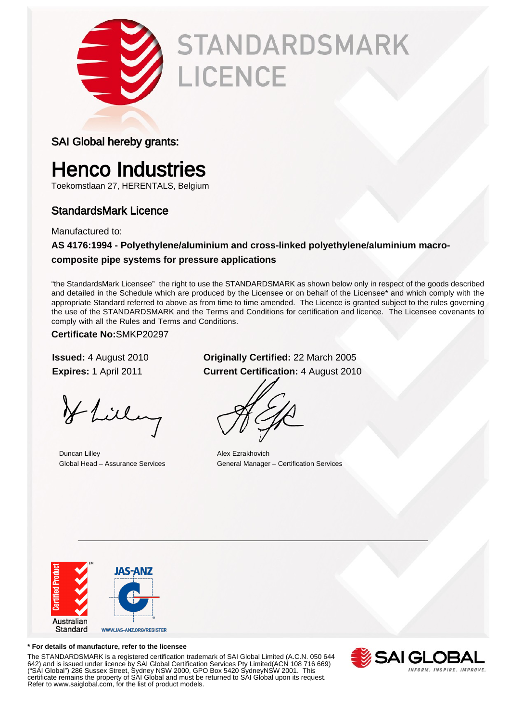

# **STANDARDSMARK** LICENCE

## SAI Global hereby grants:

## Henco Industries

Toekomstlaan 27, HERENTALS, Belgium

## StandardsMark Licence

Manufactured to:

## **AS 4176:1994 - Polyethylene/aluminium and cross-linked polyethylene/aluminium macrocomposite pipe systems for pressure applications**

"the StandardsMark Licensee" the right to use the STANDARDSMARK as shown below only in respect of the goods described and detailed in the Schedule which are produced by the Licensee or on behalf of the Licensee\* and which comply with the appropriate Standard referred to above as from time to time amended. The Licence is granted subject to the rules governing the use of the STANDARDSMARK and the Terms and Conditions for certification and licence. The Licensee covenants to comply with all the Rules and Terms and Conditions.

## **Certificate No:**SMKP20297

Hlilling

**Duncan Lilley Alex Ezrakhovich** 

## **Issued:** 4 August 2010 **Originally Certified:** 22 March 2005 **Expires:** 1 April 2011 **Current Certification:** 4 August 2010

Global Head – Assurance Services General Manager – Certification Services



### **\* For details of manufacture, refer to the licensee**

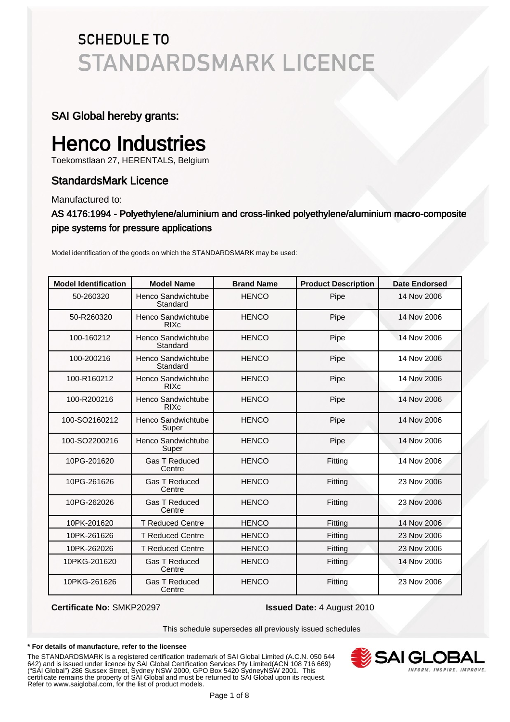## SAI Global hereby grants:

## Henco Industries

Toekomstlaan 27, HERENTALS, Belgium

## StandardsMark Licence

Manufactured to:

## AS 4176:1994 - Polyethylene/aluminium and cross-linked polyethylene/aluminium macro-composite pipe systems for pressure applications

Model identification of the goods on which the STANDARDSMARK may be used:

| <b>Model Identification</b> | <b>Model Name</b>                 | <b>Brand Name</b> | <b>Product Description</b> | <b>Date Endorsed</b> |
|-----------------------------|-----------------------------------|-------------------|----------------------------|----------------------|
| 50-260320                   | Henco Sandwichtube<br>Standard    | <b>HENCO</b>      | Pipe                       | 14 Nov 2006          |
| 50-R260320                  | Henco Sandwichtube<br><b>RIXc</b> | <b>HENCO</b>      | Pipe                       | 14 Nov 2006          |
| 100-160212                  | Henco Sandwichtube<br>Standard    | <b>HENCO</b>      | Pipe                       | 14 Nov 2006          |
| 100-200216                  | Henco Sandwichtube<br>Standard    | <b>HENCO</b>      | Pipe                       | 14 Nov 2006          |
| 100-R160212                 | Henco Sandwichtube<br><b>RIXc</b> | <b>HENCO</b>      | Pipe                       | 14 Nov 2006          |
| 100-R200216                 | Henco Sandwichtube<br><b>RIXc</b> | <b>HENCO</b>      | Pipe                       | 14 Nov 2006          |
| 100-SO2160212               | Henco Sandwichtube<br>Super       | <b>HENCO</b>      | Pipe                       | 14 Nov 2006          |
| 100-SO2200216               | Henco Sandwichtube<br>Super       | <b>HENCO</b>      | Pipe                       | 14 Nov 2006          |
| 10PG-201620                 | <b>Gas T Reduced</b><br>Centre    | <b>HENCO</b>      | Fitting                    | 14 Nov 2006          |
| 10PG-261626                 | <b>Gas T Reduced</b><br>Centre    | <b>HENCO</b>      | Fitting                    | 23 Nov 2006          |
| 10PG-262026                 | <b>Gas T Reduced</b><br>Centre    | <b>HENCO</b>      | Fitting                    | 23 Nov 2006          |
| 10PK-201620                 | <b>T Reduced Centre</b>           | <b>HENCO</b>      | Fitting                    | 14 Nov 2006          |
| 10PK-261626                 | <b>T Reduced Centre</b>           | <b>HENCO</b>      | Fitting                    | 23 Nov 2006          |
| 10PK-262026                 | <b>T Reduced Centre</b>           | <b>HENCO</b>      | Fitting                    | 23 Nov 2006          |
| 10PKG-201620                | <b>Gas T Reduced</b><br>Centre    | <b>HENCO</b>      | Fitting                    | 14 Nov 2006          |
| 10PKG-261626                | <b>Gas T Reduced</b><br>Centre    | <b>HENCO</b>      | Fitting                    | 23 Nov 2006          |

**Certificate No:** SMKP20297 **Issued Date:** 4 August 2010

This schedule supersedes all previously issued schedules

### **\* For details of manufacture, refer to the licensee**

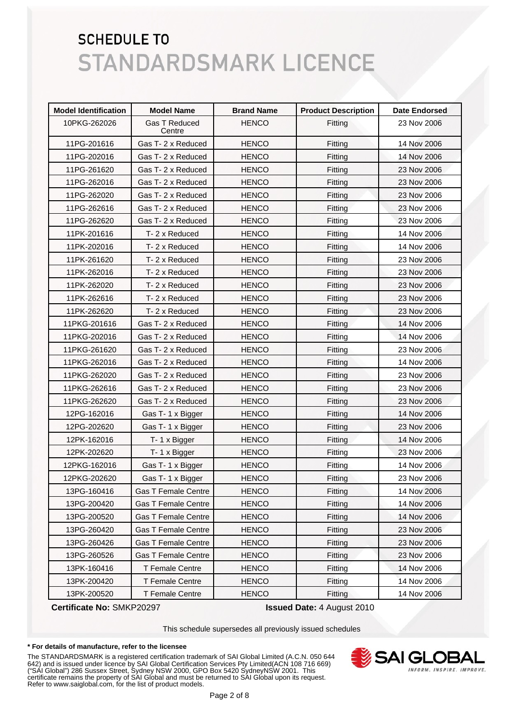| <b>Model Identification</b> | <b>Model Name</b>              | <b>Brand Name</b> | <b>Product Description</b> | <b>Date Endorsed</b> |
|-----------------------------|--------------------------------|-------------------|----------------------------|----------------------|
| 10PKG-262026                | <b>Gas T Reduced</b><br>Centre | <b>HENCO</b>      | Fitting                    | 23 Nov 2006          |
| 11PG-201616                 | Gas T-2 x Reduced              | <b>HENCO</b>      | Fitting                    | 14 Nov 2006          |
| 11PG-202016                 | Gas T-2 x Reduced              | <b>HENCO</b>      | Fitting                    | 14 Nov 2006          |
| 11PG-261620                 | Gas T-2 x Reduced              | <b>HENCO</b>      | Fitting                    | 23 Nov 2006          |
| 11PG-262016                 | Gas T-2 x Reduced              | <b>HENCO</b>      | Fitting                    | 23 Nov 2006          |
| 11PG-262020                 | Gas T-2 x Reduced              | <b>HENCO</b>      | Fitting                    | 23 Nov 2006          |
| 11PG-262616                 | Gas T-2 x Reduced              | <b>HENCO</b>      | Fitting                    | 23 Nov 2006          |
| 11PG-262620                 | Gas T-2 x Reduced              | <b>HENCO</b>      | Fitting                    | 23 Nov 2006          |
| 11PK-201616                 | T-2 x Reduced                  | <b>HENCO</b>      | Fitting                    | 14 Nov 2006          |
| 11PK-202016                 | T-2 x Reduced                  | <b>HENCO</b>      | Fitting                    | 14 Nov 2006          |
| 11PK-261620                 | T-2 x Reduced                  | <b>HENCO</b>      | Fitting                    | 23 Nov 2006          |
| 11PK-262016                 | T-2 x Reduced                  | <b>HENCO</b>      | Fitting                    | 23 Nov 2006          |
| 11PK-262020                 | T-2 x Reduced                  | <b>HENCO</b>      | Fitting                    | 23 Nov 2006          |
| 11PK-262616                 | T-2 x Reduced                  | <b>HENCO</b>      | Fitting                    | 23 Nov 2006          |
| 11PK-262620                 | T-2 x Reduced                  | <b>HENCO</b>      | Fitting                    | 23 Nov 2006          |
| 11PKG-201616                | Gas T-2 x Reduced              | <b>HENCO</b>      | Fitting                    | 14 Nov 2006          |
| 11PKG-202016                | Gas T-2 x Reduced              | <b>HENCO</b>      | Fitting                    | 14 Nov 2006          |
| 11PKG-261620                | Gas T-2 x Reduced              | <b>HENCO</b>      | Fitting                    | 23 Nov 2006          |
| 11PKG-262016                | Gas T-2 x Reduced              | <b>HENCO</b>      | Fitting                    | 14 Nov 2006          |
| 11PKG-262020                | Gas T-2 x Reduced              | <b>HENCO</b>      | Fitting                    | 23 Nov 2006          |
| 11PKG-262616                | Gas T-2 x Reduced              | <b>HENCO</b>      | Fitting                    | 23 Nov 2006          |
| 11PKG-262620                | Gas T-2 x Reduced              | <b>HENCO</b>      | Fitting                    | 23 Nov 2006          |
| 12PG-162016                 | Gas T-1 x Bigger               | <b>HENCO</b>      | Fitting                    | 14 Nov 2006          |
| 12PG-202620                 | Gas T-1 x Bigger               | <b>HENCO</b>      | Fitting                    | 23 Nov 2006          |
| 12PK-162016                 | T-1 x Bigger                   | <b>HENCO</b>      | Fitting                    | 14 Nov 2006          |
| 12PK-202620                 | T-1 x Bigger                   | <b>HENCO</b>      | Fitting                    | 23 Nov 2006          |
| 12PKG-162016                | Gas T-1 x Bigger               | <b>HENCO</b>      | Fitting                    | 14 Nov 2006          |
| 12PKG-202620                | Gas T-1 x Bigger               | <b>HENCO</b>      | Fitting                    | 23 Nov 2006          |
| 13PG-160416                 | <b>Gas T Female Centre</b>     | <b>HENCO</b>      | Fitting                    | 14 Nov 2006          |
| 13PG-200420                 | <b>Gas T Female Centre</b>     | <b>HENCO</b>      | Fitting                    | 14 Nov 2006          |
| 13PG-200520                 | <b>Gas T Female Centre</b>     | <b>HENCO</b>      | Fitting                    | 14 Nov 2006          |
| 13PG-260420                 | <b>Gas T Female Centre</b>     | <b>HENCO</b>      | Fitting                    | 23 Nov 2006          |
| 13PG-260426                 | <b>Gas T Female Centre</b>     | <b>HENCO</b>      | Fitting                    | 23 Nov 2006          |
| 13PG-260526                 | <b>Gas T Female Centre</b>     | <b>HENCO</b>      | Fitting                    | 23 Nov 2006          |
| 13PK-160416                 | T Female Centre                | <b>HENCO</b>      | Fitting                    | 14 Nov 2006          |
| 13PK-200420                 | T Female Centre                | <b>HENCO</b>      | Fitting                    | 14 Nov 2006          |
| 13PK-200520                 | T Female Centre                | <b>HENCO</b>      | Fitting                    | 14 Nov 2006          |

**Certificate No:** SMKP20297 **Issued Date:** 4 August 2010

This schedule supersedes all previously issued schedules

### **\* For details of manufacture, refer to the licensee**

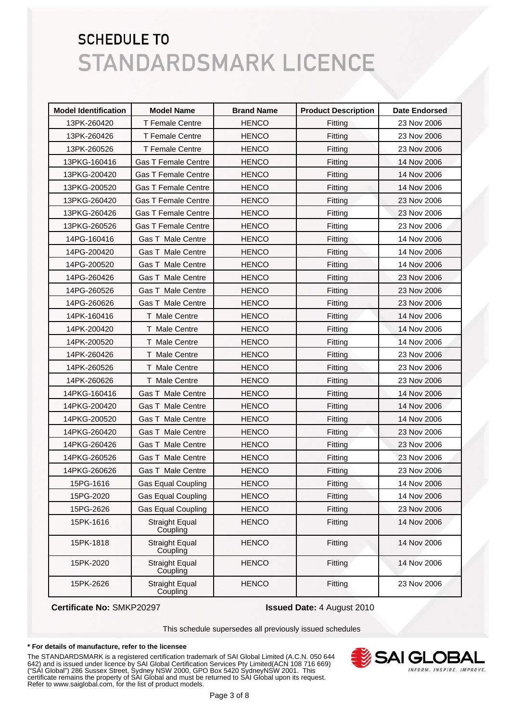| <b>Model Identification</b> | <b>Model Name</b>                 | <b>Brand Name</b> | <b>Product Description</b> | <b>Date Endorsed</b> |
|-----------------------------|-----------------------------------|-------------------|----------------------------|----------------------|
| 13PK-260420                 | <b>T Female Centre</b>            | <b>HENCO</b>      | Fitting                    | 23 Nov 2006          |
| 13PK-260426                 | <b>T Female Centre</b>            | <b>HENCO</b>      | Fitting                    | 23 Nov 2006          |
| 13PK-260526                 | <b>T Female Centre</b>            | <b>HENCO</b>      | Fitting                    | 23 Nov 2006          |
| 13PKG-160416                | <b>Gas T Female Centre</b>        | <b>HENCO</b>      | Fitting                    | 14 Nov 2006          |
| 13PKG-200420                | <b>Gas T Female Centre</b>        | <b>HENCO</b>      | Fitting                    | 14 Nov 2006          |
| 13PKG-200520                | <b>Gas T Female Centre</b>        | <b>HENCO</b>      | Fitting                    | 14 Nov 2006          |
| 13PKG-260420                | <b>Gas T Female Centre</b>        | <b>HENCO</b>      | Fitting                    | 23 Nov 2006          |
| 13PKG-260426                | <b>Gas T Female Centre</b>        | <b>HENCO</b>      | Fitting                    | 23 Nov 2006          |
| 13PKG-260526                | <b>Gas T Female Centre</b>        | <b>HENCO</b>      | Fitting                    | 23 Nov 2006          |
| 14PG-160416                 | Gas T Male Centre                 | <b>HENCO</b>      | Fitting                    | 14 Nov 2006          |
| 14PG-200420                 | Gas T Male Centre                 | <b>HENCO</b>      | Fitting                    | 14 Nov 2006          |
| 14PG-200520                 | Gas T Male Centre                 | <b>HENCO</b>      | Fitting                    | 14 Nov 2006          |
| 14PG-260426                 | <b>Gas T Male Centre</b>          | <b>HENCO</b>      | Fitting                    | 23 Nov 2006          |
| 14PG-260526                 | Gas T Male Centre                 | <b>HENCO</b>      | Fitting                    | 23 Nov 2006          |
| 14PG-260626                 | <b>Gas T Male Centre</b>          | <b>HENCO</b>      | Fitting                    | 23 Nov 2006          |
| 14PK-160416                 | T Male Centre                     | <b>HENCO</b>      | Fitting                    | 14 Nov 2006          |
| 14PK-200420                 | T Male Centre                     | <b>HENCO</b>      | Fitting                    | 14 Nov 2006          |
| 14PK-200520                 | T Male Centre                     | <b>HENCO</b>      | Fitting                    | 14 Nov 2006          |
| 14PK-260426                 | T Male Centre                     | <b>HENCO</b>      | Fitting                    | 23 Nov 2006          |
| 14PK-260526                 | T Male Centre                     | <b>HENCO</b>      | Fitting                    | 23 Nov 2006          |
| 14PK-260626                 | T Male Centre                     | <b>HENCO</b>      | Fitting                    | 23 Nov 2006          |
| 14PKG-160416                | Gas T Male Centre                 | <b>HENCO</b>      | Fitting                    | 14 Nov 2006          |
| 14PKG-200420                | Gas T Male Centre                 | <b>HENCO</b>      | Fitting                    | 14 Nov 2006          |
| 14PKG-200520                | Gas T Male Centre                 | <b>HENCO</b>      | Fitting                    | 14 Nov 2006          |
| 14PKG-260420                | <b>Gas T Male Centre</b>          | <b>HENCO</b>      | Fitting                    | 23 Nov 2006          |
| 14PKG-260426                | Gas T Male Centre                 | <b>HENCO</b>      | Fitting                    | 23 Nov 2006          |
| 14PKG-260526                | <b>Gas T Male Centre</b>          | <b>HENCO</b>      | Fitting                    | 23 Nov 2006          |
| 14PKG-260626                | <b>Gas T Male Centre</b>          | <b>HENCO</b>      | Fitting                    | 23 Nov 2006          |
| 15PG-1616                   | <b>Gas Equal Coupling</b>         | <b>HENCO</b>      | Fitting                    | 14 Nov 2006          |
| 15PG-2020                   | <b>Gas Equal Coupling</b>         | <b>HENCO</b>      | Fitting                    | 14 Nov 2006          |
| 15PG-2626                   | <b>Gas Equal Coupling</b>         | <b>HENCO</b>      | Fitting                    | 23 Nov 2006          |
| 15PK-1616                   | <b>Straight Equal</b><br>Coupling | <b>HENCO</b>      | Fitting                    | 14 Nov 2006          |
| 15PK-1818                   | <b>Straight Equal</b><br>Coupling | <b>HENCO</b>      | Fitting                    | 14 Nov 2006          |
| 15PK-2020                   | <b>Straight Equal</b><br>Coupling | <b>HENCO</b>      | Fitting                    | 14 Nov 2006          |
| 15PK-2626                   | <b>Straight Equal</b><br>Coupling | <b>HENCO</b>      | Fitting                    | 23 Nov 2006          |

## **Certificate No:** SMKP20297 **Issued Date:** 4 August 2010

This schedule supersedes all previously issued schedules

### **\* For details of manufacture, refer to the licensee**

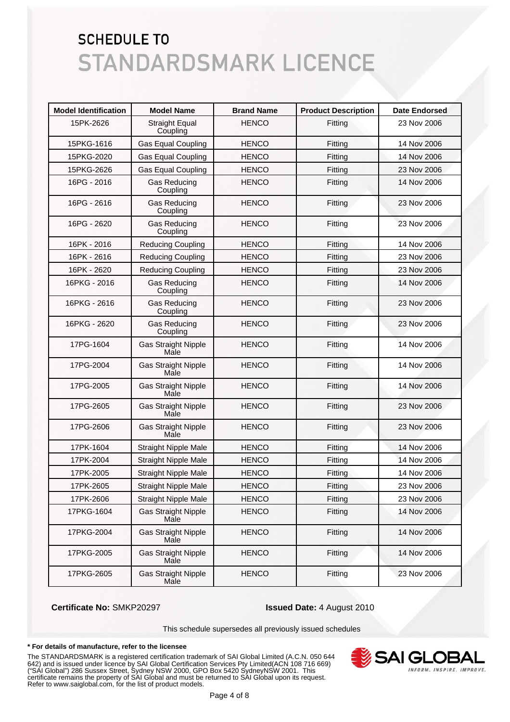| <b>Model Identification</b> | <b>Model Name</b>                  | <b>Brand Name</b> | <b>Product Description</b> | <b>Date Endorsed</b> |
|-----------------------------|------------------------------------|-------------------|----------------------------|----------------------|
| 15PK-2626                   | <b>Straight Equal</b><br>Coupling  | <b>HENCO</b>      | Fitting                    | 23 Nov 2006          |
| 15PKG-1616                  | <b>Gas Equal Coupling</b>          | <b>HENCO</b>      | Fitting                    | 14 Nov 2006          |
| 15PKG-2020                  | <b>Gas Equal Coupling</b>          | <b>HENCO</b>      | Fitting                    | 14 Nov 2006          |
| 15PKG-2626                  | <b>Gas Equal Coupling</b>          | <b>HENCO</b>      | Fitting                    | 23 Nov 2006          |
| 16PG - 2016                 | <b>Gas Reducing</b><br>Coupling    | <b>HENCO</b>      | Fitting                    | 14 Nov 2006          |
| 16PG - 2616                 | <b>Gas Reducing</b><br>Coupling    | <b>HENCO</b>      | Fitting                    | 23 Nov 2006          |
| 16PG - 2620                 | <b>Gas Reducing</b><br>Coupling    | <b>HENCO</b>      | Fitting                    | 23 Nov 2006          |
| 16PK - 2016                 | <b>Reducing Coupling</b>           | <b>HENCO</b>      | Fitting                    | 14 Nov 2006          |
| 16PK - 2616                 | <b>Reducing Coupling</b>           | <b>HENCO</b>      | Fitting                    | 23 Nov 2006          |
| 16PK - 2620                 | <b>Reducing Coupling</b>           | <b>HENCO</b>      | Fitting                    | 23 Nov 2006          |
| 16PKG - 2016                | Gas Reducing<br>Coupling           | <b>HENCO</b>      | Fitting                    | 14 Nov 2006          |
| 16PKG - 2616                | <b>Gas Reducing</b><br>Coupling    | <b>HENCO</b>      | Fitting                    | 23 Nov 2006          |
| 16PKG - 2620                | <b>Gas Reducing</b><br>Coupling    | <b>HENCO</b>      | Fitting                    | 23 Nov 2006          |
| 17PG-1604                   | <b>Gas Straight Nipple</b><br>Male | <b>HENCO</b>      | Fitting                    | 14 Nov 2006          |
| 17PG-2004                   | <b>Gas Straight Nipple</b><br>Male | <b>HENCO</b>      | Fitting                    | 14 Nov 2006          |
| 17PG-2005                   | <b>Gas Straight Nipple</b><br>Male | <b>HENCO</b>      | Fitting                    | 14 Nov 2006          |
| 17PG-2605                   | <b>Gas Straight Nipple</b><br>Male | <b>HENCO</b>      | Fitting                    | 23 Nov 2006          |
| 17PG-2606                   | <b>Gas Straight Nipple</b><br>Male | <b>HENCO</b>      | Fitting                    | 23 Nov 2006          |
| 17PK-1604                   | <b>Straight Nipple Male</b>        | <b>HENCO</b>      | Fitting                    | 14 Nov 2006          |
| 17PK-2004                   | <b>Straight Nipple Male</b>        | <b>HENCO</b>      | Fitting                    | 14 Nov 2006          |
| 17PK-2005                   | <b>Straight Nipple Male</b>        | <b>HENCO</b>      | Fitting                    | 14 Nov 2006          |
| 17PK-2605                   | <b>Straight Nipple Male</b>        | <b>HENCO</b>      | Fitting                    | 23 Nov 2006          |
| 17PK-2606                   | <b>Straight Nipple Male</b>        | <b>HENCO</b>      | Fitting                    | 23 Nov 2006          |
| 17PKG-1604                  | <b>Gas Straight Nipple</b><br>Male | <b>HENCO</b>      | Fitting                    | 14 Nov 2006          |
| 17PKG-2004                  | <b>Gas Straight Nipple</b><br>Male | <b>HENCO</b>      | Fitting                    | 14 Nov 2006          |
| 17PKG-2005                  | <b>Gas Straight Nipple</b><br>Male | <b>HENCO</b>      | Fitting                    | 14 Nov 2006          |
| 17PKG-2605                  | <b>Gas Straight Nipple</b><br>Male | <b>HENCO</b>      | Fitting                    | 23 Nov 2006          |

### **Certificate No:** SMKP20297 **Issued Date:** 4 August 2010

This schedule supersedes all previously issued schedules

### **\* For details of manufacture, refer to the licensee**

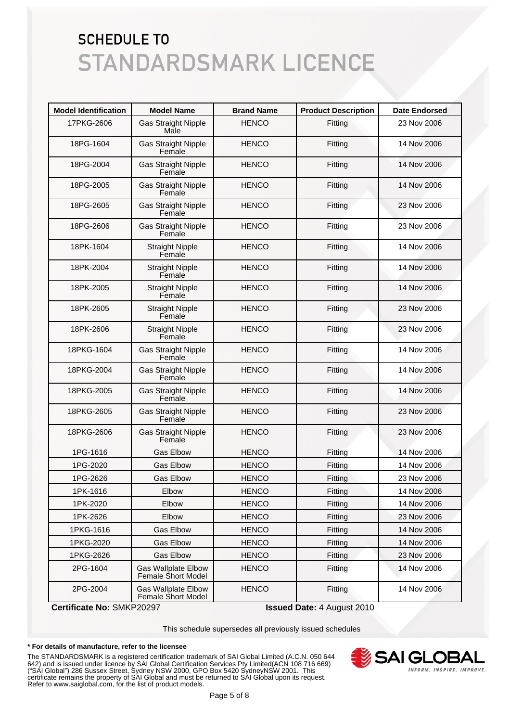| <b>Model Identification</b> | <b>Model Name</b>                                | <b>Brand Name</b> | <b>Product Description</b> | <b>Date Endorsed</b> |
|-----------------------------|--------------------------------------------------|-------------------|----------------------------|----------------------|
| 17PKG-2606                  | <b>Gas Straight Nipple</b><br>Male               | <b>HENCO</b>      | Fitting                    | 23 Nov 2006          |
| 18PG-1604                   | <b>Gas Straight Nipple</b><br>Female             | <b>HENCO</b>      | Fitting                    | 14 Nov 2006          |
| 18PG-2004                   | <b>Gas Straight Nipple</b><br>Female             | <b>HENCO</b>      | Fitting                    | 14 Nov 2006          |
| 18PG-2005                   | <b>Gas Straight Nipple</b><br>Female             | <b>HENCO</b>      | Fitting                    | 14 Nov 2006          |
| 18PG-2605                   | <b>Gas Straight Nipple</b><br>Female             | <b>HENCO</b>      | Fitting                    | 23 Nov 2006          |
| 18PG-2606                   | <b>Gas Straight Nipple</b><br>Female             | <b>HENCO</b>      | Fitting                    | 23 Nov 2006          |
| 18PK-1604                   | <b>Straight Nipple</b><br>Female                 | <b>HENCO</b>      | Fitting                    | 14 Nov 2006          |
| 18PK-2004                   | <b>Straight Nipple</b><br>Female                 | <b>HENCO</b>      | Fitting                    | 14 Nov 2006          |
| 18PK-2005                   | <b>Straight Nipple</b><br>Female                 | <b>HENCO</b>      | Fitting                    | 14 Nov 2006          |
| 18PK-2605                   | <b>Straight Nipple</b><br>Female                 | <b>HENCO</b>      | Fitting                    | 23 Nov 2006          |
| 18PK-2606                   | <b>Straight Nipple</b><br>Female                 | <b>HENCO</b>      | Fitting                    | 23 Nov 2006          |
| 18PKG-1604                  | <b>Gas Straight Nipple</b><br>Female             | <b>HENCO</b>      | Fitting                    | 14 Nov 2006          |
| 18PKG-2004                  | <b>Gas Straight Nipple</b><br>Female             | <b>HENCO</b>      | Fitting                    | 14 Nov 2006          |
| 18PKG-2005                  | <b>Gas Straight Nipple</b><br>Female             | <b>HENCO</b>      | Fitting                    | 14 Nov 2006          |
| 18PKG-2605                  | <b>Gas Straight Nipple</b><br>Female             | <b>HENCO</b>      | Fitting                    | 23 Nov 2006          |
| 18PKG-2606                  | <b>Gas Straight Nipple</b><br>Female             | <b>HENCO</b>      | Fitting                    | 23 Nov 2006          |
| 1PG-1616                    | <b>Gas Elbow</b>                                 | <b>HENCO</b>      | Fitting                    | 14 Nov 2006          |
| 1PG-2020                    | <b>Gas Elbow</b>                                 | <b>HENCO</b>      | Fitting                    | 14 Nov 2006          |
| 1PG-2626                    | <b>Gas Elbow</b>                                 | <b>HENCO</b>      | Fitting                    | 23 Nov 2006          |
| 1PK-1616                    | Elbow                                            | <b>HENCO</b>      | Fitting                    | 14 Nov 2006          |
| 1PK-2020                    | Elbow                                            | <b>HENCO</b>      | Fitting                    | 14 Nov 2006          |
| 1PK-2626                    | Elbow                                            | <b>HENCO</b>      | Fitting                    | 23 Nov 2006          |
| 1PKG-1616                   | <b>Gas Elbow</b>                                 | <b>HENCO</b>      | Fitting                    | 14 Nov 2006          |
| 1PKG-2020                   | <b>Gas Elbow</b>                                 | <b>HENCO</b>      | Fitting                    | 14 Nov 2006          |
| 1PKG-2626                   | <b>Gas Elbow</b>                                 | <b>HENCO</b>      | Fitting                    | 23 Nov 2006          |
| 2PG-1604                    | <b>Gas Wallplate Elbow</b><br>Female Short Model | <b>HENCO</b>      | Fitting                    | 14 Nov 2006          |
| 2PG-2004                    | <b>Gas Wallplate Elbow</b><br>Female Short Model | <b>HENCO</b>      | Fitting                    | 14 Nov 2006          |

**Certificate No:** SMKP20297 **Issued Date:** 4 August 2010

This schedule supersedes all previously issued schedules

### **\* For details of manufacture, refer to the licensee**

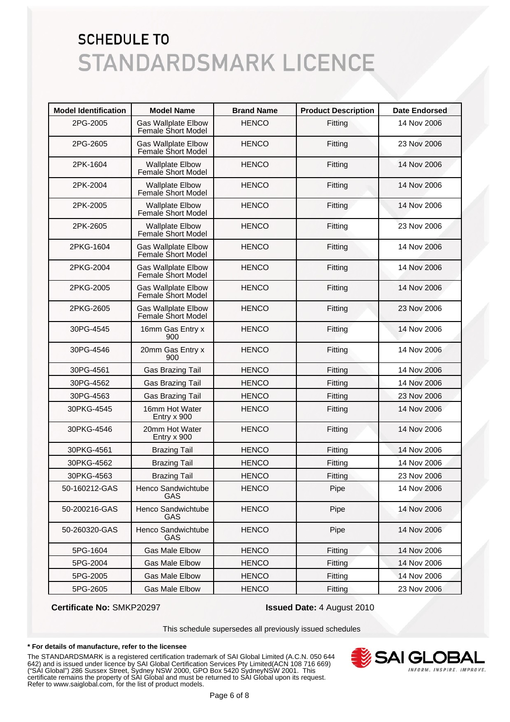| <b>Model Identification</b> | <b>Model Name</b>                                   | <b>Brand Name</b> | <b>Product Description</b> | <b>Date Endorsed</b> |
|-----------------------------|-----------------------------------------------------|-------------------|----------------------------|----------------------|
| 2PG-2005                    | <b>Gas Wallplate Elbow</b><br>Female Short Model    | <b>HENCO</b>      | Fitting                    | 14 Nov 2006          |
| 2PG-2605                    | <b>Gas Wallplate Elbow</b><br>Female Short Model    | <b>HENCO</b>      | Fitting                    | 23 Nov 2006          |
| 2PK-1604                    | <b>Wallplate Elbow</b><br>Female Short Model        | <b>HENCO</b>      | Fitting                    | 14 Nov 2006          |
| 2PK-2004                    | <b>Wallplate Elbow</b><br>Female Short Model        | <b>HENCO</b>      | Fitting                    | 14 Nov 2006          |
| 2PK-2005                    | <b>Wallplate Elbow</b><br><b>Female Short Model</b> | <b>HENCO</b>      | Fitting                    | 14 Nov 2006          |
| 2PK-2605                    | <b>Wallplate Elbow</b><br>Female Short Model        | <b>HENCO</b>      | Fitting                    | 23 Nov 2006          |
| 2PKG-1604                   | <b>Gas Wallplate Elbow</b><br>Female Short Model    | <b>HENCO</b>      | Fitting                    | 14 Nov 2006          |
| 2PKG-2004                   | <b>Gas Wallplate Elbow</b><br>Female Short Model    | <b>HENCO</b>      | Fitting                    | 14 Nov 2006          |
| 2PKG-2005                   | Gas Wallplate Elbow<br>Female Short Model           | <b>HENCO</b>      | Fitting                    | 14 Nov 2006          |
| 2PKG-2605                   | <b>Gas Wallplate Elbow</b><br>Female Short Model    | <b>HENCO</b>      | Fitting                    | 23 Nov 2006          |
| 30PG-4545                   | 16mm Gas Entry x<br>900                             | <b>HENCO</b>      | Fitting                    | 14 Nov 2006          |
| 30PG-4546                   | 20mm Gas Entry x<br>900                             | <b>HENCO</b>      | Fitting                    | 14 Nov 2006          |
| 30PG-4561                   | Gas Brazing Tail                                    | <b>HENCO</b>      | Fitting                    | 14 Nov 2006          |
| 30PG-4562                   | Gas Brazing Tail                                    | <b>HENCO</b>      | Fitting                    | 14 Nov 2006          |
| 30PG-4563                   | <b>Gas Brazing Tail</b>                             | <b>HENCO</b>      | Fitting                    | 23 Nov 2006          |
| 30PKG-4545                  | 16mm Hot Water<br>Entry x 900                       | <b>HENCO</b>      | Fitting                    | 14 Nov 2006          |
| 30PKG-4546                  | 20mm Hot Water<br>Entry x 900                       | <b>HENCO</b>      | Fitting                    | 14 Nov 2006          |
| 30PKG-4561                  | <b>Brazing Tail</b>                                 | <b>HENCO</b>      | Fitting                    | 14 Nov 2006          |
| 30PKG-4562                  | <b>Brazing Tail</b>                                 | <b>HENCO</b>      | Fitting                    | 14 Nov 2006          |
| 30PKG-4563                  | <b>Brazing Tail</b>                                 | <b>HENCO</b>      | Fitting                    | 23 Nov 2006          |
| 50-160212-GAS               | Henco Sandwichtube<br>GAS                           | <b>HENCO</b>      | Pipe                       | 14 Nov 2006          |
| 50-200216-GAS               | Henco Sandwichtube<br>GAS                           | <b>HENCO</b>      | Pipe                       | 14 Nov 2006          |
| 50-260320-GAS               | Henco Sandwichtube<br>GAS                           | <b>HENCO</b>      | Pipe                       | 14 Nov 2006          |
| 5PG-1604                    | <b>Gas Male Elbow</b>                               | <b>HENCO</b>      | Fitting                    | 14 Nov 2006          |
| 5PG-2004                    | <b>Gas Male Elbow</b>                               | <b>HENCO</b>      | Fitting                    | 14 Nov 2006          |
| 5PG-2005                    | <b>Gas Male Elbow</b>                               | <b>HENCO</b>      | Fitting                    | 14 Nov 2006          |
| 5PG-2605                    | Gas Male Elbow                                      | <b>HENCO</b>      | Fitting                    | 23 Nov 2006          |

## **Certificate No:** SMKP20297 **Issued Date:** 4 August 2010

This schedule supersedes all previously issued schedules

### **\* For details of manufacture, refer to the licensee**

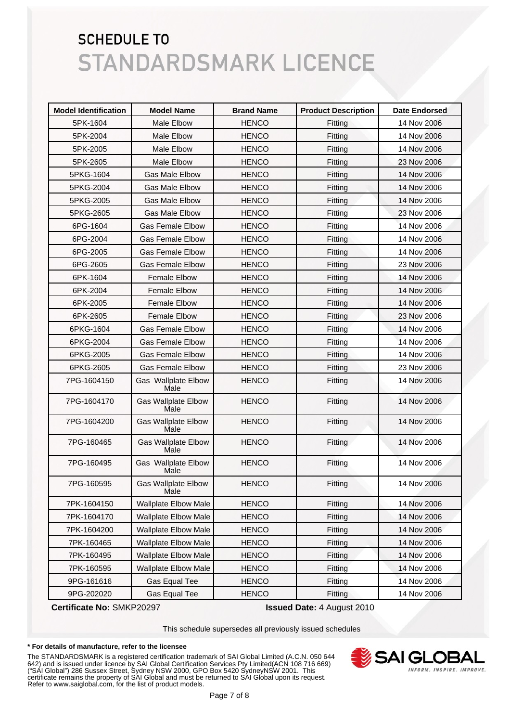| <b>Model Identification</b> | <b>Model Name</b>                  | <b>Brand Name</b> | <b>Product Description</b> | <b>Date Endorsed</b> |
|-----------------------------|------------------------------------|-------------------|----------------------------|----------------------|
| 5PK-1604                    | Male Elbow                         | <b>HENCO</b>      | Fitting                    | 14 Nov 2006          |
| 5PK-2004                    | Male Elbow                         | <b>HENCO</b>      | Fitting                    | 14 Nov 2006          |
| 5PK-2005                    | Male Elbow                         | <b>HENCO</b>      | Fitting                    | 14 Nov 2006          |
| 5PK-2605                    | Male Elbow                         | <b>HENCO</b>      | Fitting                    | 23 Nov 2006          |
| 5PKG-1604                   | Gas Male Elbow                     | <b>HENCO</b>      | Fitting                    | 14 Nov 2006          |
| 5PKG-2004                   | <b>Gas Male Elbow</b>              | <b>HENCO</b>      | Fitting                    | 14 Nov 2006          |
| 5PKG-2005                   | <b>Gas Male Elbow</b>              | <b>HENCO</b>      | Fitting                    | 14 Nov 2006          |
| 5PKG-2605                   | <b>Gas Male Elbow</b>              | <b>HENCO</b>      | Fitting                    | 23 Nov 2006          |
| 6PG-1604                    | <b>Gas Female Elbow</b>            | <b>HENCO</b>      | Fitting                    | 14 Nov 2006          |
| 6PG-2004                    | <b>Gas Female Elbow</b>            | <b>HENCO</b>      | Fitting                    | 14 Nov 2006          |
| 6PG-2005                    | <b>Gas Female Elbow</b>            | <b>HENCO</b>      | Fitting                    | 14 Nov 2006          |
| 6PG-2605                    | <b>Gas Female Elbow</b>            | <b>HENCO</b>      | Fitting                    | 23 Nov 2006          |
| 6PK-1604                    | <b>Female Elbow</b>                | <b>HENCO</b>      | Fitting                    | 14 Nov 2006          |
| 6PK-2004                    | <b>Female Elbow</b>                | <b>HENCO</b>      | Fitting                    | 14 Nov 2006          |
| 6PK-2005                    | <b>Female Elbow</b>                | <b>HENCO</b>      | Fitting                    | 14 Nov 2006          |
| 6PK-2605                    | <b>Female Elbow</b>                | <b>HENCO</b>      | Fitting                    | 23 Nov 2006          |
| 6PKG-1604                   | <b>Gas Female Elbow</b>            | <b>HENCO</b>      | Fitting                    | 14 Nov 2006          |
| 6PKG-2004                   | <b>Gas Female Elbow</b>            | <b>HENCO</b>      | Fitting                    | 14 Nov 2006          |
| 6PKG-2005                   | <b>Gas Female Elbow</b>            | <b>HENCO</b>      | Fitting                    | 14 Nov 2006          |
| 6PKG-2605                   | <b>Gas Female Elbow</b>            | <b>HENCO</b>      | Fitting                    | 23 Nov 2006          |
| 7PG-1604150                 | Gas Wallplate Elbow<br>Male        | <b>HENCO</b>      | Fitting                    | 14 Nov 2006          |
| 7PG-1604170                 | <b>Gas Wallplate Elbow</b><br>Male | <b>HENCO</b>      | Fitting                    | 14 Nov 2006          |
| 7PG-1604200                 | <b>Gas Wallplate Elbow</b><br>Male | <b>HENCO</b>      | Fitting                    | 14 Nov 2006          |
| 7PG-160465                  | <b>Gas Wallplate Elbow</b><br>Male | <b>HENCO</b>      | Fitting                    | 14 Nov 2006          |
| 7PG-160495                  | <b>Gas Wallplate Elbow</b><br>Male | <b>HENCO</b>      | Fitting                    | 14 Nov 2006          |
| 7PG-160595                  | <b>Gas Wallplate Elbow</b><br>Male | <b>HENCO</b>      | Fitting                    | 14 Nov 2006          |
| 7PK-1604150                 | <b>Wallplate Elbow Male</b>        | <b>HENCO</b>      | Fitting                    | 14 Nov 2006          |
| 7PK-1604170                 | <b>Wallplate Elbow Male</b>        | <b>HENCO</b>      | Fitting                    | 14 Nov 2006          |
| 7PK-1604200                 | <b>Wallplate Elbow Male</b>        | <b>HENCO</b>      | Fitting                    | 14 Nov 2006          |
| 7PK-160465                  | <b>Wallplate Elbow Male</b>        | <b>HENCO</b>      | Fitting                    | 14 Nov 2006          |
| 7PK-160495                  | <b>Wallplate Elbow Male</b>        | <b>HENCO</b>      | Fitting                    | 14 Nov 2006          |
| 7PK-160595                  | <b>Wallplate Elbow Male</b>        | <b>HENCO</b>      | Fitting                    | 14 Nov 2006          |
| 9PG-161616                  | Gas Equal Tee                      | <b>HENCO</b>      | Fitting                    | 14 Nov 2006          |
| 9PG-202020                  | Gas Equal Tee                      | <b>HENCO</b>      | Fitting                    | 14 Nov 2006          |

**Certificate No:** SMKP20297 **Issued Date:** 4 August 2010

This schedule supersedes all previously issued schedules

### **\* For details of manufacture, refer to the licensee**